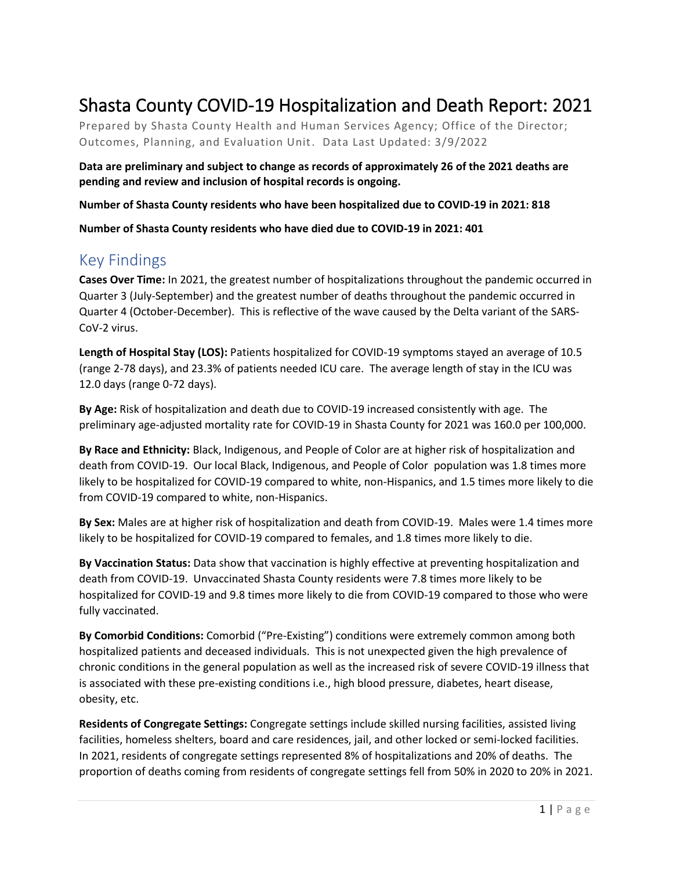# Shasta County COVID-19 Hospitalization and Death Report: 2021

Prepared by Shasta County Health and Human Services Agency; Office of the Director; Outcomes, Planning, and Evaluation Unit. Data Last Updated: 3/9/2022

**Data are preliminary and subject to change as records of approximately 26 of the 2021 deaths are pending and review and inclusion of hospital records is ongoing.** 

**Number of Shasta County residents who have been hospitalized due to COVID-19 in 2021: 818**

**Number of Shasta County residents who have died due to COVID-19 in 2021: 401**

### Key Findings

**Cases Over Time:** In 2021, the greatest number of hospitalizations throughout the pandemic occurred in Quarter 3 (July-September) and the greatest number of deaths throughout the pandemic occurred in Quarter 4 (October-December). This is reflective of the wave caused by the Delta variant of the SARS-CoV-2 virus.

**Length of Hospital Stay (LOS):** Patients hospitalized for COVID-19 symptoms stayed an average of 10.5 (range 2-78 days), and 23.3% of patients needed ICU care. The average length of stay in the ICU was 12.0 days (range 0-72 days).

**By Age:** Risk of hospitalization and death due to COVID-19 increased consistently with age. The preliminary age-adjusted mortality rate for COVID-19 in Shasta County for 2021 was 160.0 per 100,000.

**By Race and Ethnicity:** Black, Indigenous, and People of Color are at higher risk of hospitalization and death from COVID-19. Our local Black, Indigenous, and People of Color population was 1.8 times more likely to be hospitalized for COVID-19 compared to white, non-Hispanics, and 1.5 times more likely to die from COVID-19 compared to white, non-Hispanics.

**By Sex:** Males are at higher risk of hospitalization and death from COVID-19. Males were 1.4 times more likely to be hospitalized for COVID-19 compared to females, and 1.8 times more likely to die.

**By Vaccination Status:** Data show that vaccination is highly effective at preventing hospitalization and death from COVID-19.Unvaccinated Shasta County residents were 7.8 times more likely to be hospitalized for COVID-19 and 9.8 times more likely to die from COVID-19 compared to those who were fully vaccinated.

**By Comorbid Conditions:** Comorbid ("Pre-Existing") conditions were extremely common among both hospitalized patients and deceased individuals. This is not unexpected given the high prevalence of chronic conditions in the general population as well as the increased risk of severe COVID-19 illness that is associated with these pre-existing conditions i.e., high blood pressure, diabetes, heart disease, obesity, etc.

**Residents of Congregate Settings:** Congregate settings include skilled nursing facilities, assisted living facilities, homeless shelters, board and care residences, jail, and other locked or semi-locked facilities. In 2021, residents of congregate settings represented 8% of hospitalizations and 20% of deaths. The proportion of deaths coming from residents of congregate settings fell from 50% in 2020 to 20% in 2021.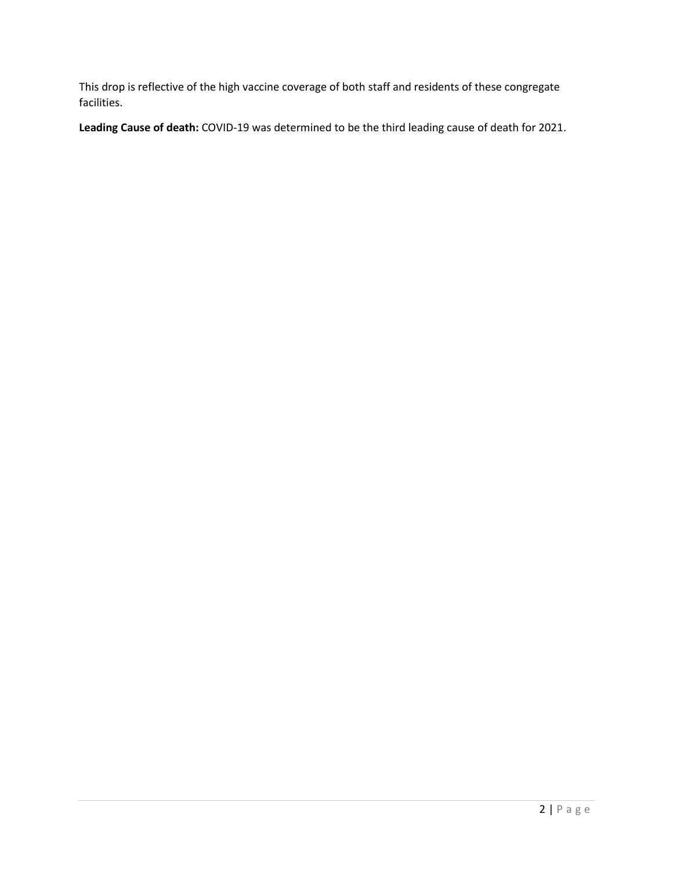This drop is reflective of the high vaccine coverage of both staff and residents of these congregate facilities.

**Leading Cause of death:** COVID-19 was determined to be the third leading cause of death for 2021.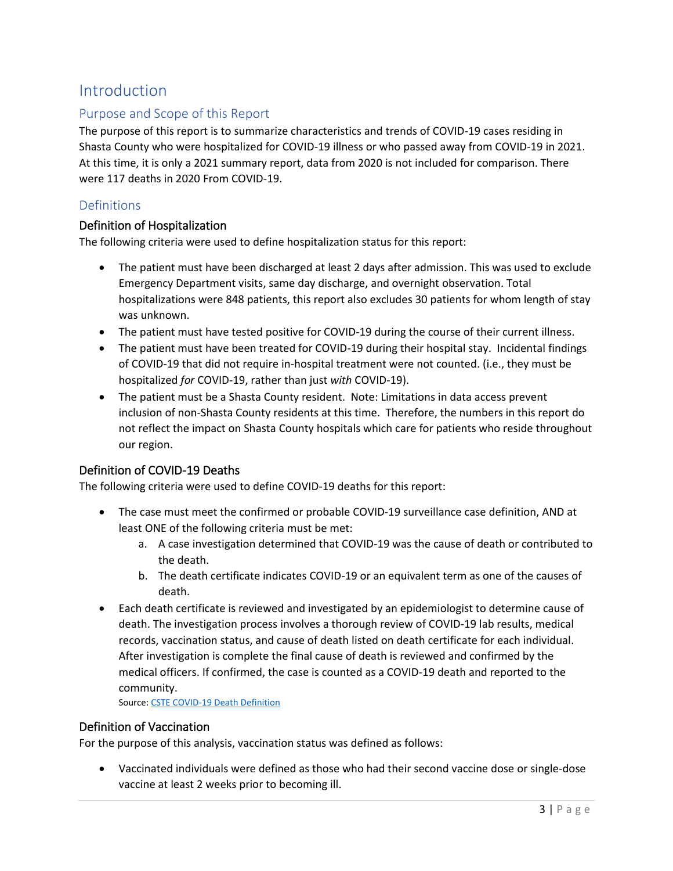## Introduction

### Purpose and Scope of this Report

The purpose of this report is to summarize characteristics and trends of COVID-19 cases residing in Shasta County who were hospitalized for COVID-19 illness or who passed away from COVID-19 in 2021. At this time, it is only a 2021 summary report, data from 2020 is not included for comparison. There were 117 deaths in 2020 From COVID-19.

#### Definitions

#### Definition of Hospitalization

The following criteria were used to define hospitalization status for this report:

- The patient must have been discharged at least 2 days after admission. This was used to exclude Emergency Department visits, same day discharge, and overnight observation. Total hospitalizations were 848 patients, this report also excludes 30 patients for whom length of stay was unknown.
- The patient must have tested positive for COVID-19 during the course of their current illness.
- The patient must have been treated for COVID-19 during their hospital stay. Incidental findings of COVID-19 that did not require in-hospital treatment were not counted. (i.e., they must be hospitalized *for* COVID-19, rather than just *with* COVID-19).
- The patient must be a Shasta County resident. Note: Limitations in data access prevent inclusion of non-Shasta County residents at this time. Therefore, the numbers in this report do not reflect the impact on Shasta County hospitals which care for patients who reside throughout our region.

#### Definition of COVID-19 Deaths

The following criteria were used to define COVID-19 deaths for this report:

- The case must meet the confirmed or probable COVID-19 surveillance case definition, AND at least ONE of the following criteria must be met:
	- a. A case investigation determined that COVID-19 was the cause of death or contributed to the death.
	- b. The death certificate indicates COVID-19 or an equivalent term as one of the causes of death.
- Each death certificate is reviewed and investigated by an epidemiologist to determine cause of death. The investigation process involves a thorough review of COVID-19 lab results, medical records, vaccination status, and cause of death listed on death certificate for each individual. After investigation is complete the final cause of death is reviewed and confirmed by the medical officers. If confirmed, the case is counted as a COVID-19 death and reported to the community.

Source[: CSTE COVID-19 Death Definition](https://cdn.ymaws.com/www.cste.org/resource/resmgr/covid-19/Death_Classification_Definti.pdf)

#### Definition of Vaccination

For the purpose of this analysis, vaccination status was defined as follows:

• Vaccinated individuals were defined as those who had their second vaccine dose or single-dose vaccine at least 2 weeks prior to becoming ill.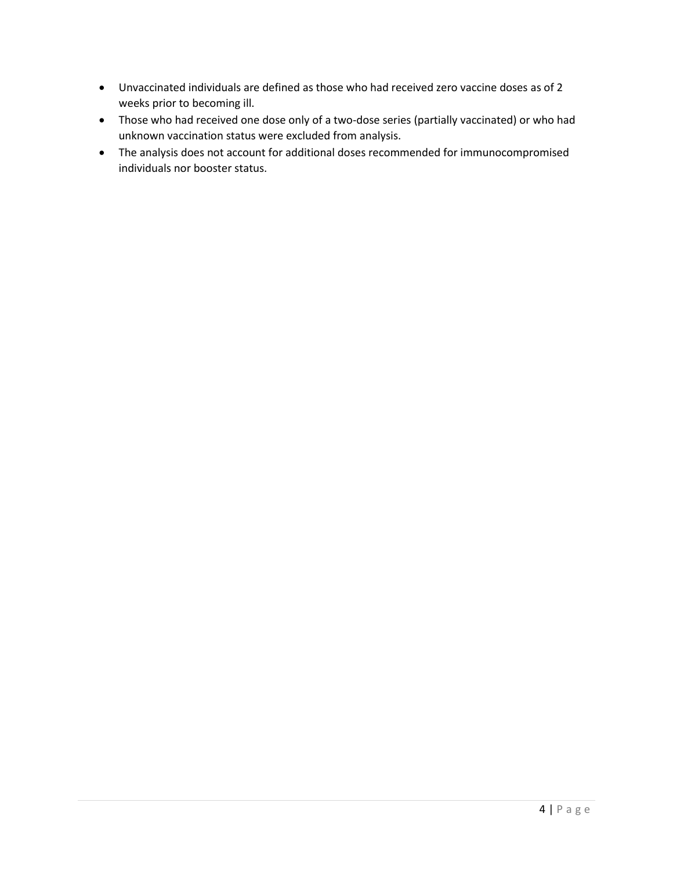- Unvaccinated individuals are defined as those who had received zero vaccine doses as of 2 weeks prior to becoming ill.
- Those who had received one dose only of a two-dose series (partially vaccinated) or who had unknown vaccination status were excluded from analysis.
- The analysis does not account for additional doses recommended for immunocompromised individuals nor booster status.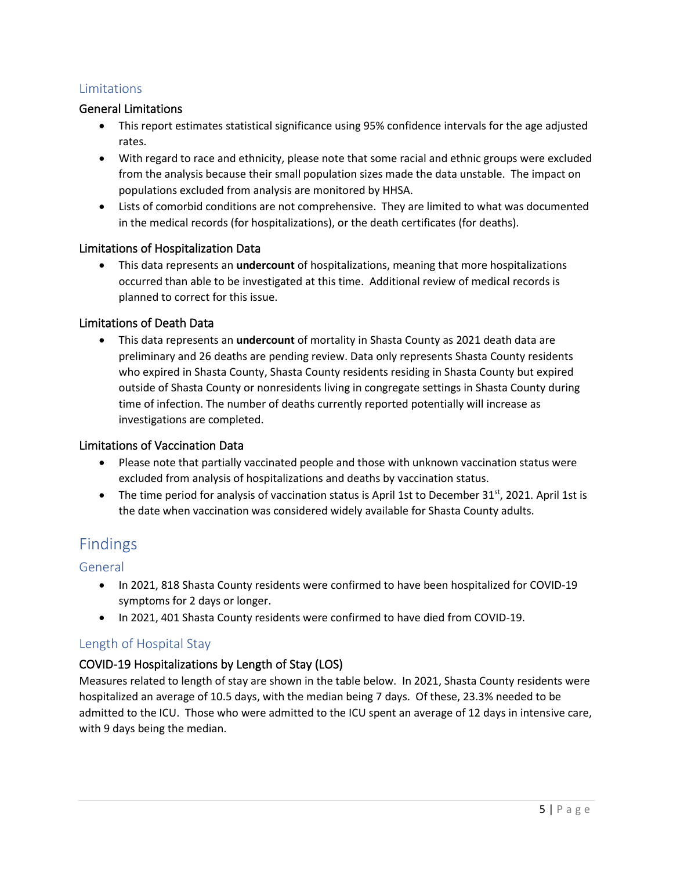### Limitations

#### General Limitations

- This report estimates statistical significance using 95% confidence intervals for the age adjusted rates.
- With regard to race and ethnicity, please note that some racial and ethnic groups were excluded from the analysis because their small population sizes made the data unstable. The impact on populations excluded from analysis are monitored by HHSA.
- Lists of comorbid conditions are not comprehensive. They are limited to what was documented in the medical records (for hospitalizations), or the death certificates (for deaths).

#### Limitations of Hospitalization Data

• This data represents an **undercount** of hospitalizations, meaning that more hospitalizations occurred than able to be investigated at this time. Additional review of medical records is planned to correct for this issue.

#### Limitations of Death Data

• This data represents an **undercount** of mortality in Shasta County as 2021 death data are preliminary and 26 deaths are pending review. Data only represents Shasta County residents who expired in Shasta County, Shasta County residents residing in Shasta County but expired outside of Shasta County or nonresidents living in congregate settings in Shasta County during time of infection. The number of deaths currently reported potentially will increase as investigations are completed.

#### Limitations of Vaccination Data

- Please note that partially vaccinated people and those with unknown vaccination status were excluded from analysis of hospitalizations and deaths by vaccination status.
- The time period for analysis of vaccination status is April 1st to December  $31^{st}$ , 2021. April 1st is the date when vaccination was considered widely available for Shasta County adults.

### Findings

#### General

- In 2021, 818 Shasta County residents were confirmed to have been hospitalized for COVID-19 symptoms for 2 days or longer.
- In 2021, 401 Shasta County residents were confirmed to have died from COVID-19.

#### Length of Hospital Stay

#### COVID-19 Hospitalizations by Length of Stay (LOS)

Measures related to length of stay are shown in the table below. In 2021, Shasta County residents were hospitalized an average of 10.5 days, with the median being 7 days. Of these, 23.3% needed to be admitted to the ICU. Those who were admitted to the ICU spent an average of 12 days in intensive care, with 9 days being the median.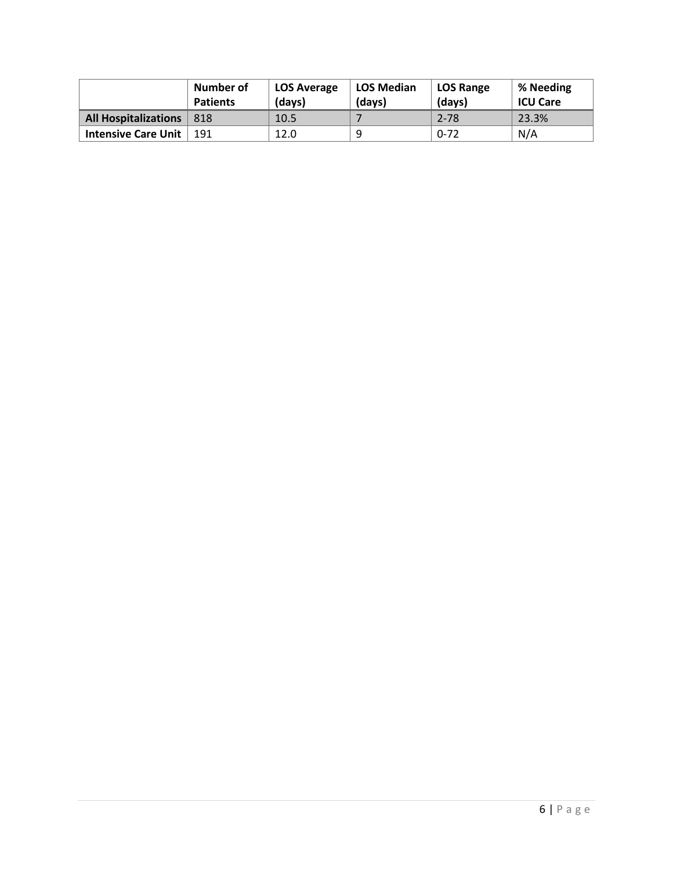|                             | Number of<br><b>Patients</b> | <b>LOS Average</b><br>(days) | <b>LOS Median</b><br>(davs) | <b>LOS Range</b><br>(days) | % Needing<br><b>ICU Care</b> |
|-----------------------------|------------------------------|------------------------------|-----------------------------|----------------------------|------------------------------|
| <b>All Hospitalizations</b> | 818                          | 10.5                         |                             | $2 - 78$                   | 23.3%                        |
| <b>Intensive Care Unit</b>  | 191                          | 12.0                         | 9                           | $0 - 72$                   | N/A                          |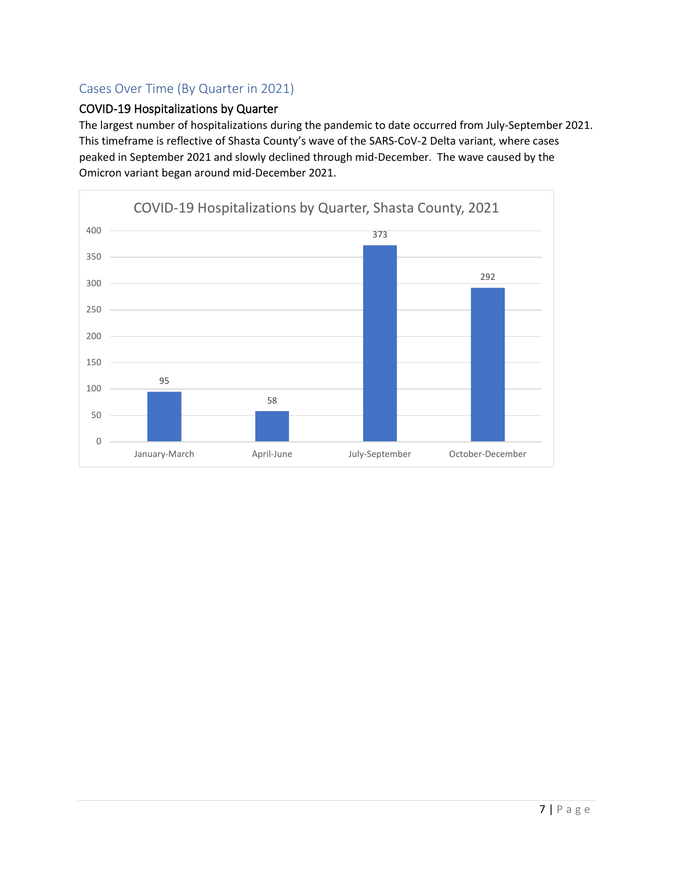### Cases Over Time (By Quarter in 2021)

### COVID-19 Hospitalizations by Quarter

The largest number of hospitalizations during the pandemic to date occurred from July-September 2021. This timeframe is reflective of Shasta County's wave of the SARS-CoV-2 Delta variant, where cases peaked in September 2021 and slowly declined through mid-December. The wave caused by the Omicron variant began around mid-December 2021.

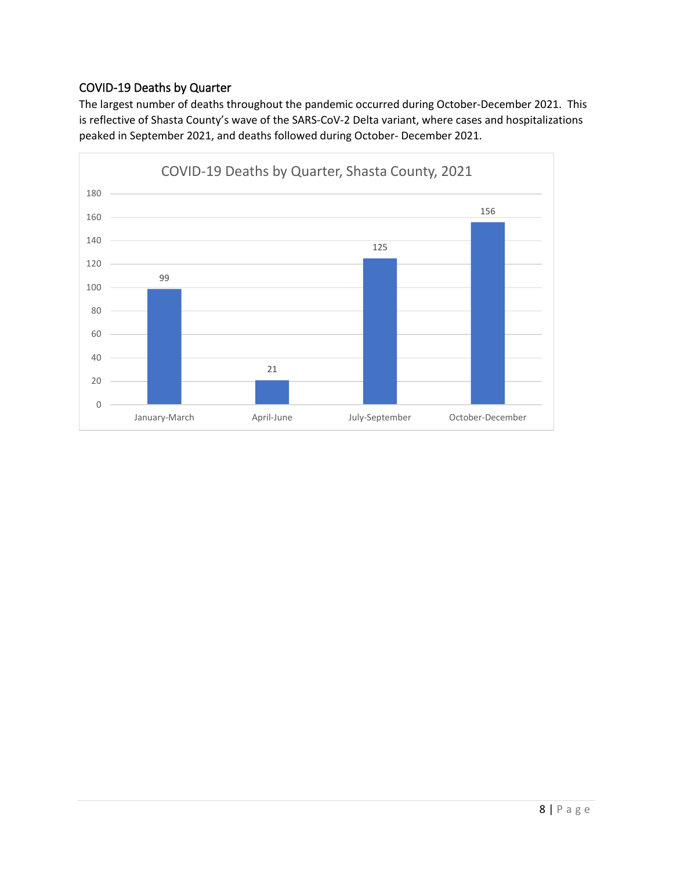### COVID-19 Deaths by Quarter

The largest number of deaths throughout the pandemic occurred during October-December 2021. This is reflective of Shasta County's wave of the SARS-CoV-2 Delta variant, where cases and hospitalizations peaked in September 2021, and deaths followed during October- December 2021.

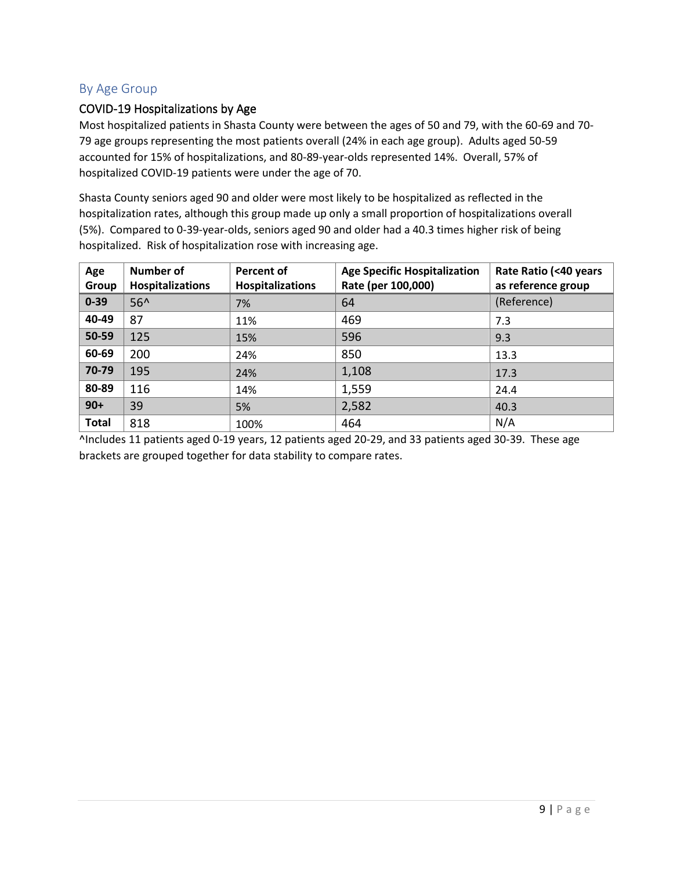### By Age Group

#### COVID-19 Hospitalizations by Age

Most hospitalized patients in Shasta County were between the ages of 50 and 79, with the 60-69 and 70- 79 age groups representing the most patients overall (24% in each age group). Adults aged 50-59 accounted for 15% of hospitalizations, and 80-89-year-olds represented 14%. Overall, 57% of hospitalized COVID-19 patients were under the age of 70.

Shasta County seniors aged 90 and older were most likely to be hospitalized as reflected in the hospitalization rates, although this group made up only a small proportion of hospitalizations overall (5%). Compared to 0-39-year-olds, seniors aged 90 and older had a 40.3 times higher risk of being hospitalized. Risk of hospitalization rose with increasing age.

| Age<br>Group | <b>Number of</b><br><b>Hospitalizations</b> | <b>Percent of</b><br><b>Hospitalizations</b> | <b>Age Specific Hospitalization</b><br>Rate (per 100,000) | Rate Ratio (<40 years<br>as reference group |
|--------------|---------------------------------------------|----------------------------------------------|-----------------------------------------------------------|---------------------------------------------|
| $0 - 39$     | $56^$                                       | 7%                                           | 64                                                        | (Reference)                                 |
| 40-49        | 87                                          | 11%                                          | 469                                                       | 7.3                                         |
| 50-59        | 125                                         | 15%                                          | 596                                                       | 9.3                                         |
| 60-69        | 200                                         | 24%                                          | 850                                                       | 13.3                                        |
| 70-79        | 195                                         | 24%                                          | 1,108                                                     | 17.3                                        |
| 80-89        | 116                                         | 14%                                          | 1,559                                                     | 24.4                                        |
| $90+$        | 39                                          | 5%                                           | 2,582                                                     | 40.3                                        |
| <b>Total</b> | 818                                         | 100%                                         | 464                                                       | N/A                                         |

^Includes 11 patients aged 0-19 years, 12 patients aged 20-29, and 33 patients aged 30-39. These age brackets are grouped together for data stability to compare rates.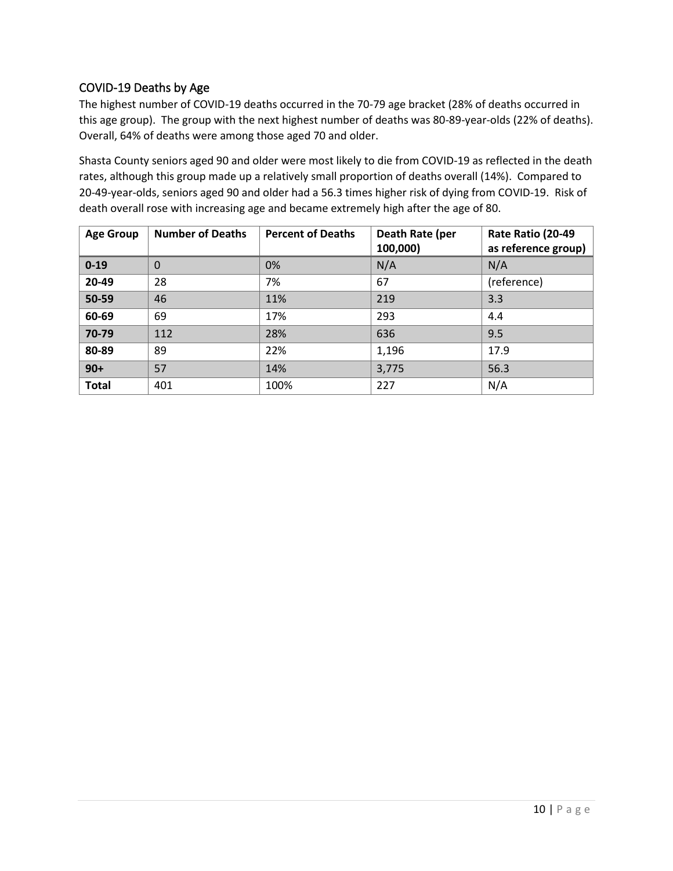### COVID-19 Deaths by Age

The highest number of COVID-19 deaths occurred in the 70-79 age bracket (28% of deaths occurred in this age group). The group with the next highest number of deaths was 80-89-year-olds (22% of deaths). Overall, 64% of deaths were among those aged 70 and older.

Shasta County seniors aged 90 and older were most likely to die from COVID-19 as reflected in the death rates, although this group made up a relatively small proportion of deaths overall (14%). Compared to 20-49-year-olds, seniors aged 90 and older had a 56.3 times higher risk of dying from COVID-19. Risk of death overall rose with increasing age and became extremely high after the age of 80.

| <b>Age Group</b> | <b>Number of Deaths</b> | <b>Percent of Deaths</b> | Death Rate (per<br>100,000) | Rate Ratio (20-49<br>as reference group) |
|------------------|-------------------------|--------------------------|-----------------------------|------------------------------------------|
| $0 - 19$         | $\Omega$                | 0%                       | N/A                         | N/A                                      |
| 20-49            | 28                      | 7%                       | 67                          | (reference)                              |
| 50-59            | 46                      | 11%                      | 219                         | 3.3                                      |
| 60-69            | 69                      | 17%                      | 293                         | 4.4                                      |
| 70-79            | 112                     | 28%                      | 636                         | 9.5                                      |
| 80-89            | 89                      | 22%                      | 1,196                       | 17.9                                     |
| $90+$            | 57                      | 14%                      | 3,775                       | 56.3                                     |
| <b>Total</b>     | 401                     | 100%                     | 227                         | N/A                                      |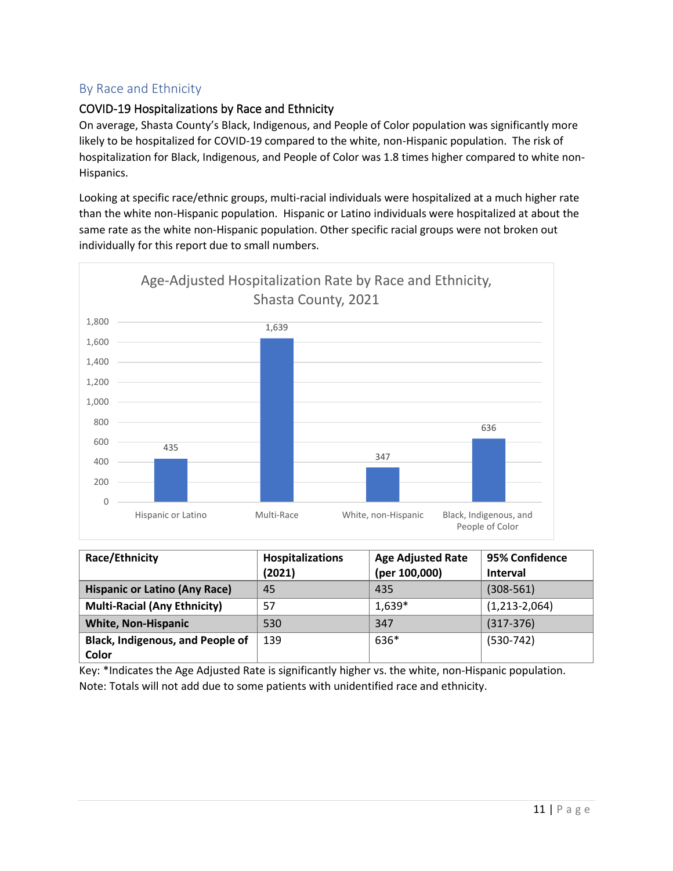### By Race and Ethnicity

### COVID-19 Hospitalizations by Race and Ethnicity

On average, Shasta County's Black, Indigenous, and People of Color population was significantly more likely to be hospitalized for COVID-19 compared to the white, non-Hispanic population. The risk of hospitalization for Black, Indigenous, and People of Color was 1.8 times higher compared to white non-Hispanics.

Looking at specific race/ethnic groups, multi-racial individuals were hospitalized at a much higher rate than the white non-Hispanic population. Hispanic or Latino individuals were hospitalized at about the same rate as the white non-Hispanic population. Other specific racial groups were not broken out individually for this report due to small numbers.



| Race/Ethnicity                                   | Hospitalizations<br>(2021) | <b>Age Adjusted Rate</b><br>(per 100,000) | 95% Confidence<br><b>Interval</b> |
|--------------------------------------------------|----------------------------|-------------------------------------------|-----------------------------------|
| <b>Hispanic or Latino (Any Race)</b>             | 45                         | 435                                       | $(308 - 561)$                     |
| <b>Multi-Racial (Any Ethnicity)</b>              | 57                         | $1,639*$                                  | $(1,213-2,064)$                   |
| <b>White, Non-Hispanic</b>                       | 530                        | 347                                       | $(317-376)$                       |
| <b>Black, Indigenous, and People of</b><br>Color | 139                        | 636*                                      | $(530-742)$                       |

Key: \*Indicates the Age Adjusted Rate is significantly higher vs. the white, non-Hispanic population. Note: Totals will not add due to some patients with unidentified race and ethnicity.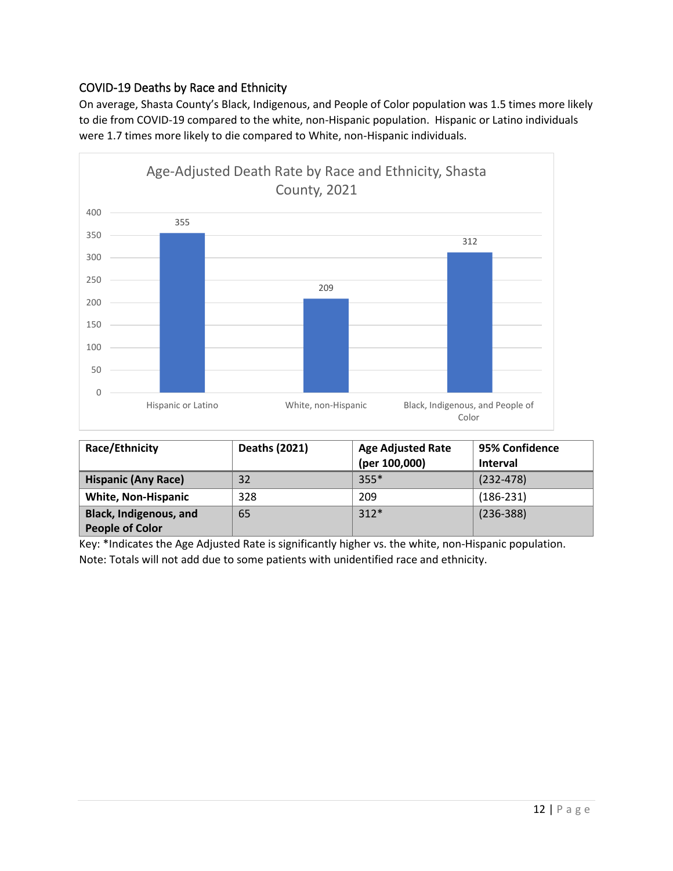### COVID-19 Deaths by Race and Ethnicity

On average, Shasta County's Black, Indigenous, and People of Color population was 1.5 times more likely to die from COVID-19 compared to the white, non-Hispanic population. Hispanic or Latino individuals were 1.7 times more likely to die compared to White, non-Hispanic individuals.



| Race/Ethnicity                                          | Deaths (2021) | <b>Age Adjusted Rate</b><br>(per 100,000) | 95% Confidence<br><b>Interval</b> |
|---------------------------------------------------------|---------------|-------------------------------------------|-----------------------------------|
| <b>Hispanic (Any Race)</b>                              | 32            | $355*$                                    | $(232 - 478)$                     |
| <b>White, Non-Hispanic</b>                              | 328           | 209                                       | $(186-231)$                       |
| <b>Black, Indigenous, and</b><br><b>People of Color</b> | 65            | $312*$                                    | $(236 - 388)$                     |

Key: \*Indicates the Age Adjusted Rate is significantly higher vs. the white, non-Hispanic population. Note: Totals will not add due to some patients with unidentified race and ethnicity.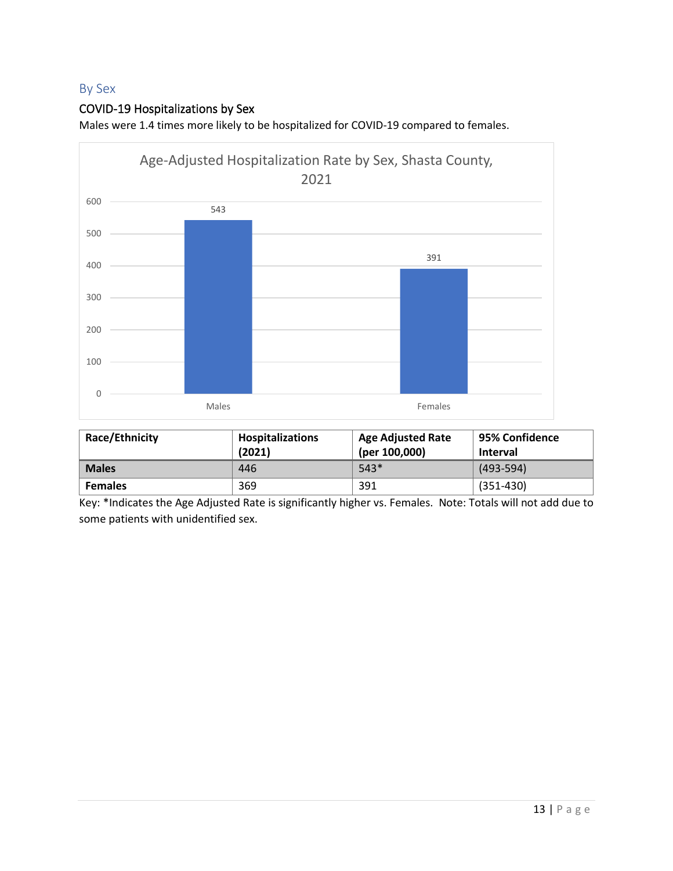### By Sex

### COVID-19 Hospitalizations by Sex

Males were 1.4 times more likely to be hospitalized for COVID-19 compared to females.



| Race/Ethnicity | <b>Hospitalizations</b><br>(2021) | <b>Age Adjusted Rate</b><br>(per 100,000) | ' 95% Confidence<br><b>Interval</b> |
|----------------|-----------------------------------|-------------------------------------------|-------------------------------------|
| <b>Males</b>   | 446                               | $543*$                                    | $(493 - 594)$                       |
| <b>Females</b> | 369                               | 391                                       | $(351 - 430)$                       |

Key: \*Indicates the Age Adjusted Rate is significantly higher vs. Females. Note: Totals will not add due to some patients with unidentified sex.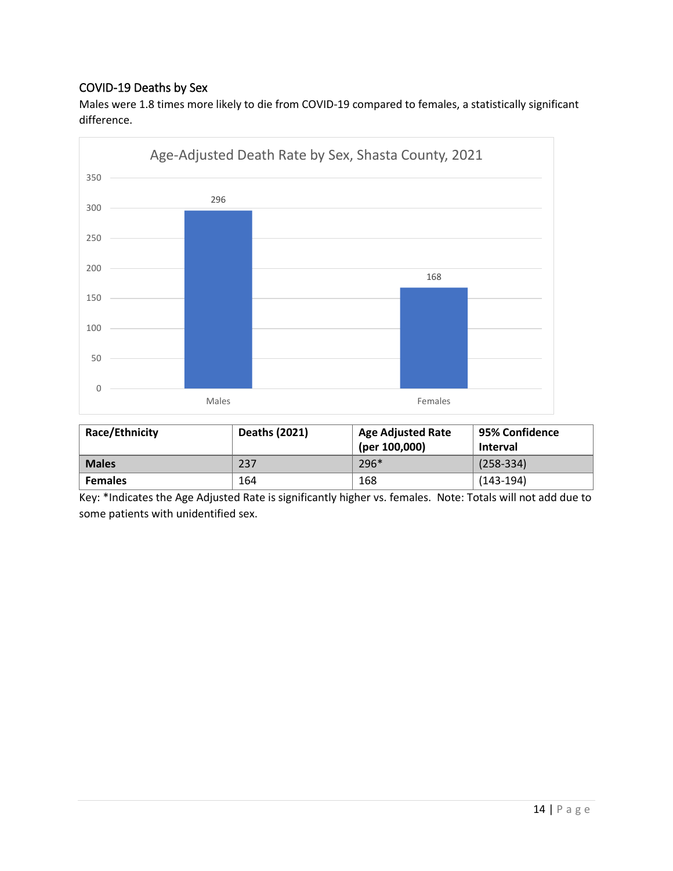### COVID-19 Deaths by Sex

Males were 1.8 times more likely to die from COVID-19 compared to females, a statistically significant difference.



| Race/Ethnicity | Deaths (2021) | <b>Age Adjusted Rate</b><br>(per 100,000) | 95% Confidence<br><b>Interval</b> |
|----------------|---------------|-------------------------------------------|-----------------------------------|
| <b>Males</b>   | 237           | $296*$                                    | $(258-334)$                       |
| <b>Females</b> | 164           | 168                                       | $(143-194)$                       |

Key: \*Indicates the Age Adjusted Rate is significantly higher vs. females. Note: Totals will not add due to some patients with unidentified sex.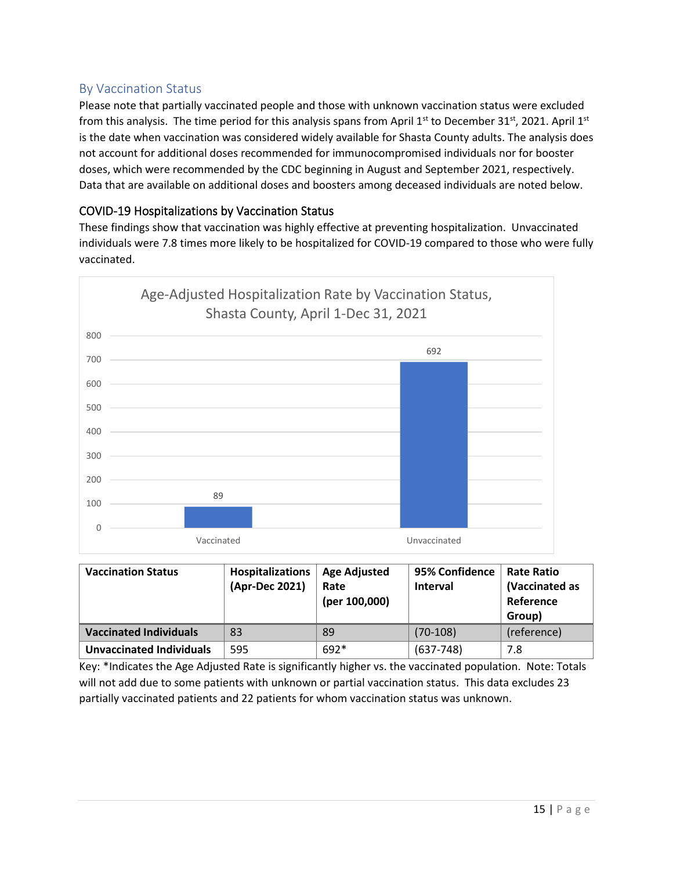### By Vaccination Status

Please note that partially vaccinated people and those with unknown vaccination status were excluded from this analysis. The time period for this analysis spans from April 1st to December 31st, 2021. April 1st is the date when vaccination was considered widely available for Shasta County adults. The analysis does not account for additional doses recommended for immunocompromised individuals nor for booster doses, which were recommended by the CDC beginning in August and September 2021, respectively. Data that are available on additional doses and boosters among deceased individuals are noted below.

### COVID-19 Hospitalizations by Vaccination Status

These findings show that vaccination was highly effective at preventing hospitalization. Unvaccinated individuals were 7.8 times more likely to be hospitalized for COVID-19 compared to those who were fully vaccinated.



| <b>Vaccination Status</b>     | <b>Hospitalizations</b><br>(Apr-Dec 2021) | <b>Age Adjusted</b><br>Rate<br>(per 100,000) | 95% Confidence<br><b>Interval</b> | <b>Rate Ratio</b><br>(Vaccinated as<br>Reference<br>Group) |
|-------------------------------|-------------------------------------------|----------------------------------------------|-----------------------------------|------------------------------------------------------------|
| <b>Vaccinated Individuals</b> | 83                                        | 89                                           | $(70-108)$                        | (reference)                                                |
| Unvaccinated Individuals      | 595                                       | 692*                                         | $(637 - 748)$                     | 7.8                                                        |

Key: \*Indicates the Age Adjusted Rate is significantly higher vs. the vaccinated population. Note: Totals will not add due to some patients with unknown or partial vaccination status. This data excludes 23 partially vaccinated patients and 22 patients for whom vaccination status was unknown.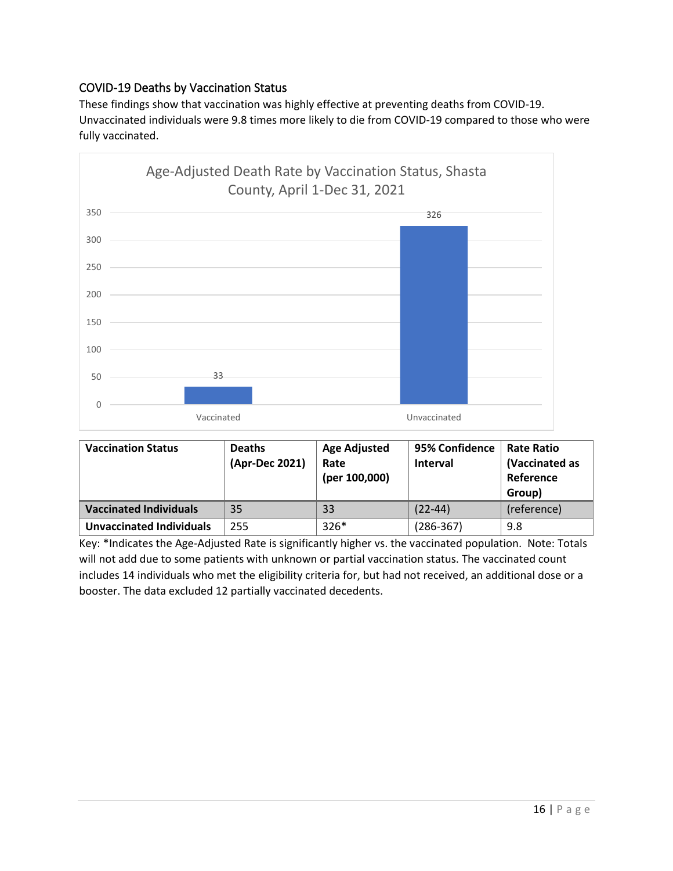### COVID-19 Deaths by Vaccination Status

These findings show that vaccination was highly effective at preventing deaths from COVID-19. Unvaccinated individuals were 9.8 times more likely to die from COVID-19 compared to those who were fully vaccinated.



| <b>Vaccination Status</b>       | <b>Deaths</b><br>(Apr-Dec 2021) | <b>Age Adjusted</b><br>Rate<br>(per 100,000) | 95% Confidence<br><b>Interval</b> | <b>Rate Ratio</b><br>(Vaccinated as<br>Reference<br>Group) |
|---------------------------------|---------------------------------|----------------------------------------------|-----------------------------------|------------------------------------------------------------|
| <b>Vaccinated Individuals</b>   | 35                              | 33                                           | $(22-44)$                         | (reference)                                                |
| <b>Unvaccinated Individuals</b> | 255                             | $326*$                                       | $(286 - 367)$                     | 9.8                                                        |

Key: \*Indicates the Age-Adjusted Rate is significantly higher vs. the vaccinated population. Note: Totals will not add due to some patients with unknown or partial vaccination status. The vaccinated count includes 14 individuals who met the eligibility criteria for, but had not received, an additional dose or a booster. The data excluded 12 partially vaccinated decedents.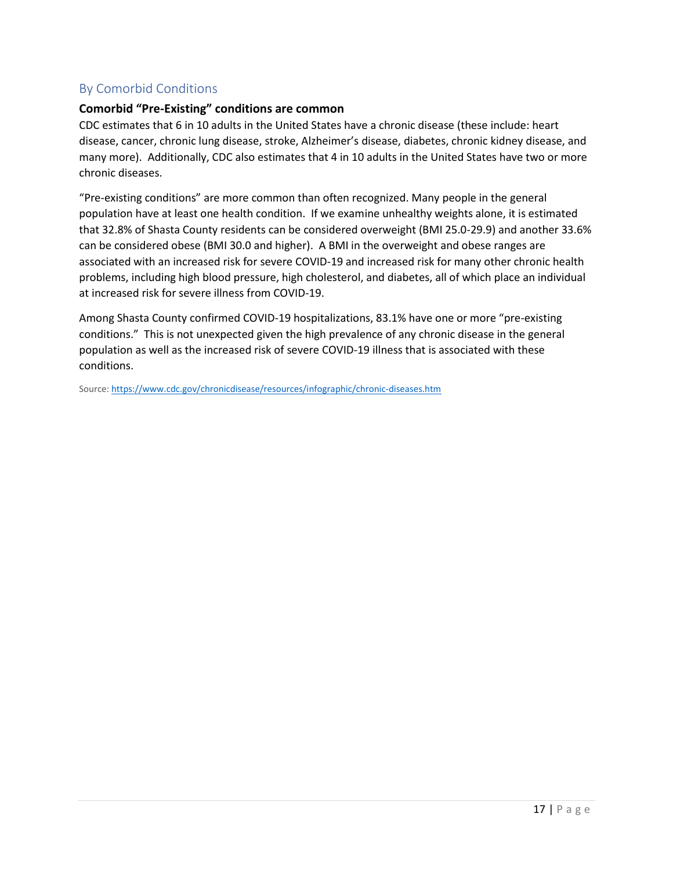### By Comorbid Conditions

#### **Comorbid "Pre-Existing" conditions are common**

CDC estimates that 6 in 10 adults in the United States have a chronic disease (these include: heart disease, cancer, chronic lung disease, stroke, Alzheimer's disease, diabetes, chronic kidney disease, and many more). Additionally, CDC also estimates that 4 in 10 adults in the United States have two or more chronic diseases.

"Pre-existing conditions" are more common than often recognized. Many people in the general population have at least one health condition. If we examine unhealthy weights alone, it is estimated that 32.8% of Shasta County residents can be considered overweight (BMI 25.0-29.9) and another 33.6% can be considered obese (BMI 30.0 and higher). A BMI in the overweight and obese ranges are associated with an increased risk for severe COVID-19 and increased risk for many other chronic health problems, including high blood pressure, high cholesterol, and diabetes, all of which place an individual at increased risk for severe illness from COVID-19.

Among Shasta County confirmed COVID-19 hospitalizations, 83.1% have one or more "pre-existing conditions." This is not unexpected given the high prevalence of any chronic disease in the general population as well as the increased risk of severe COVID-19 illness that is associated with these conditions.

Source[: https://www.cdc.gov/chronicdisease/resources/infographic/chronic-diseases.htm](https://www.cdc.gov/chronicdisease/resources/infographic/chronic-diseases.htm)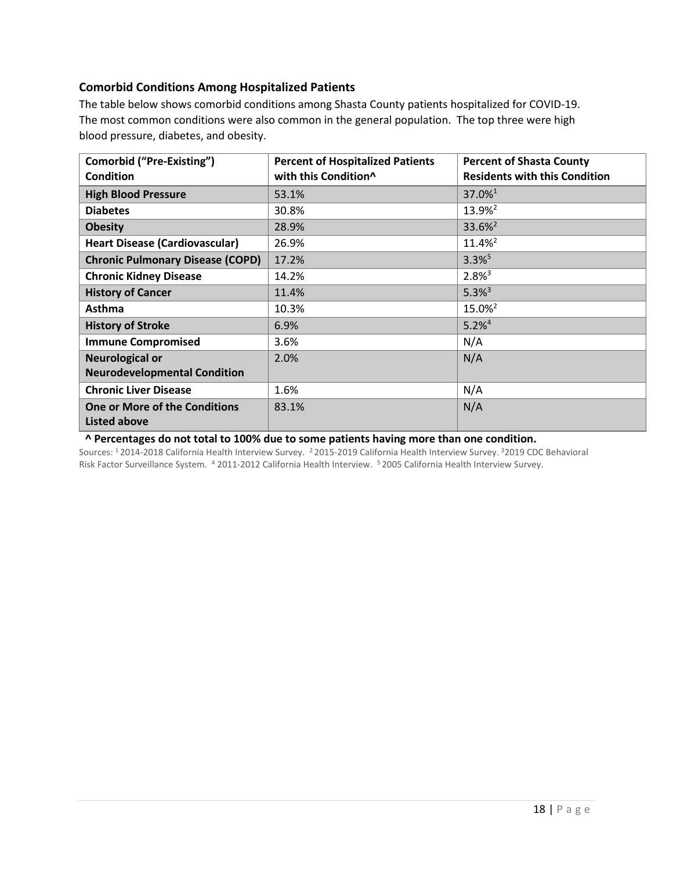#### **Comorbid Conditions Among Hospitalized Patients**

The table below shows comorbid conditions among Shasta County patients hospitalized for COVID-19. The most common conditions were also common in the general population. The top three were high blood pressure, diabetes, and obesity.

| <b>Comorbid ("Pre-Existing")</b><br><b>Condition</b> | <b>Percent of Hospitalized Patients</b><br>with this Condition^ | <b>Percent of Shasta County</b><br><b>Residents with this Condition</b> |
|------------------------------------------------------|-----------------------------------------------------------------|-------------------------------------------------------------------------|
| <b>High Blood Pressure</b>                           | 53.1%                                                           | 37.0% <sup>1</sup>                                                      |
| <b>Diabetes</b>                                      | 30.8%                                                           | 13.9% <sup>2</sup>                                                      |
| <b>Obesity</b>                                       | 28.9%                                                           | 33.6% <sup>2</sup>                                                      |
| <b>Heart Disease (Cardiovascular)</b>                | 26.9%                                                           | 11.4% <sup>2</sup>                                                      |
| <b>Chronic Pulmonary Disease (COPD)</b>              | 17.2%                                                           | $3.3\%$ <sup>5</sup>                                                    |
| <b>Chronic Kidney Disease</b>                        | 14.2%                                                           | $2.8\%$ <sup>3</sup>                                                    |
| <b>History of Cancer</b>                             | 11.4%                                                           | $5.3\%$ <sup>3</sup>                                                    |
| Asthma                                               | 10.3%                                                           | 15.0% <sup>2</sup>                                                      |
| <b>History of Stroke</b>                             | 6.9%                                                            | $5.2%^{4}$                                                              |
| <b>Immune Compromised</b>                            | 3.6%                                                            | N/A                                                                     |
| <b>Neurological or</b>                               | 2.0%                                                            | N/A                                                                     |
| <b>Neurodevelopmental Condition</b>                  |                                                                 |                                                                         |
| <b>Chronic Liver Disease</b>                         | 1.6%                                                            | N/A                                                                     |
| <b>One or More of the Conditions</b><br>Listed above | 83.1%                                                           | N/A                                                                     |

**^ Percentages do not total to 100% due to some patients having more than one condition.** 

Sources: <sup>1</sup> 2014-2018 California Health Interview Survey. <sup>2</sup> 2015-2019 California Health Interview Survey. <sup>3</sup>2019 CDC Behavioral Risk Factor Surveillance System. <sup>4</sup> 2011-2012 California Health Interview. <sup>5</sup> 2005 California Health Interview Survey.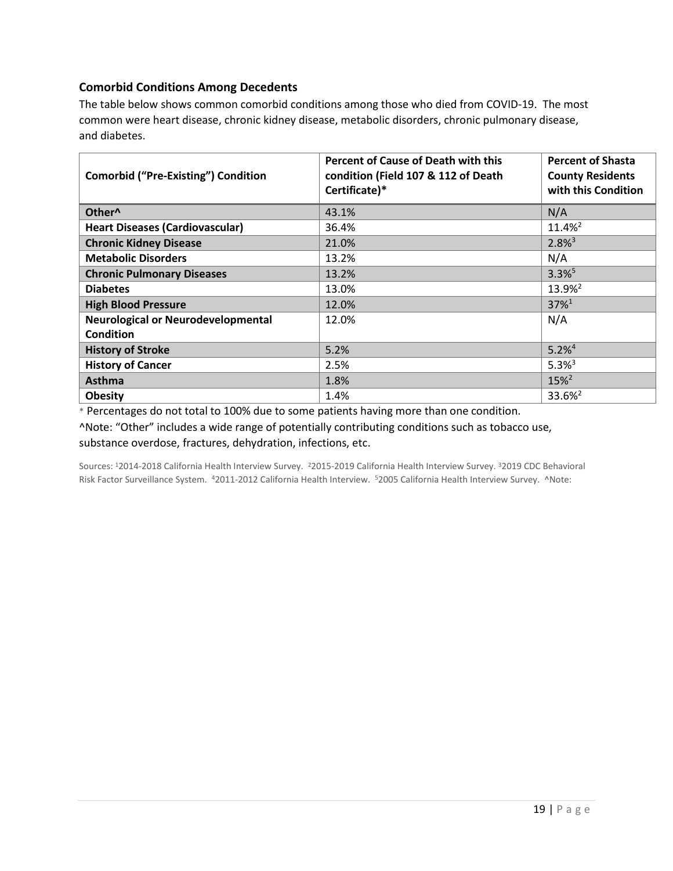#### **Comorbid Conditions Among Decedents**

The table below shows common comorbid conditions among those who died from COVID-19. The most common were heart disease, chronic kidney disease, metabolic disorders, chronic pulmonary disease, and diabetes.

| <b>Comorbid ("Pre-Existing") Condition</b> | <b>Percent of Cause of Death with this</b><br>condition (Field 107 & 112 of Death<br>Certificate)* | <b>Percent of Shasta</b><br><b>County Residents</b><br>with this Condition |
|--------------------------------------------|----------------------------------------------------------------------------------------------------|----------------------------------------------------------------------------|
| Other <sup>^</sup>                         | 43.1%                                                                                              | N/A                                                                        |
| <b>Heart Diseases (Cardiovascular)</b>     | 36.4%                                                                                              | $11.4%^{2}$                                                                |
| <b>Chronic Kidney Disease</b>              | 21.0%                                                                                              | $2.8\%$ <sup>3</sup>                                                       |
| <b>Metabolic Disorders</b>                 | 13.2%                                                                                              | N/A                                                                        |
| <b>Chronic Pulmonary Diseases</b>          | 13.2%                                                                                              | $3.3\%$ <sup>5</sup>                                                       |
| <b>Diabetes</b>                            | 13.0%                                                                                              | 13.9% <sup>2</sup>                                                         |
| <b>High Blood Pressure</b>                 | 12.0%                                                                                              | $37\%$ <sup>1</sup>                                                        |
| <b>Neurological or Neurodevelopmental</b>  | 12.0%                                                                                              | N/A                                                                        |
| <b>Condition</b>                           |                                                                                                    |                                                                            |
| <b>History of Stroke</b>                   | 5.2%                                                                                               | $5.2%^{4}$                                                                 |
| <b>History of Cancer</b>                   | 2.5%                                                                                               | $5.3%^{3}$                                                                 |
| <b>Asthma</b>                              | 1.8%                                                                                               | $15\%$ <sup>2</sup>                                                        |
| <b>Obesity</b>                             | 1.4%                                                                                               | 33.6% <sup>2</sup>                                                         |

\* Percentages do not total to 100% due to some patients having more than one condition.

^Note: "Other" includes a wide range of potentially contributing conditions such as tobacco use, substance overdose, fractures, dehydration, infections, etc.

Sources: <sup>1</sup>2014-2018 California Health Interview Survey. <sup>2</sup>2015-2019 California Health Interview Survey. <sup>3</sup>2019 CDC Behavioral Risk Factor Surveillance System. <sup>4</sup>2011-2012 California Health Interview. <sup>5</sup>2005 California Health Interview Survey. ^Note: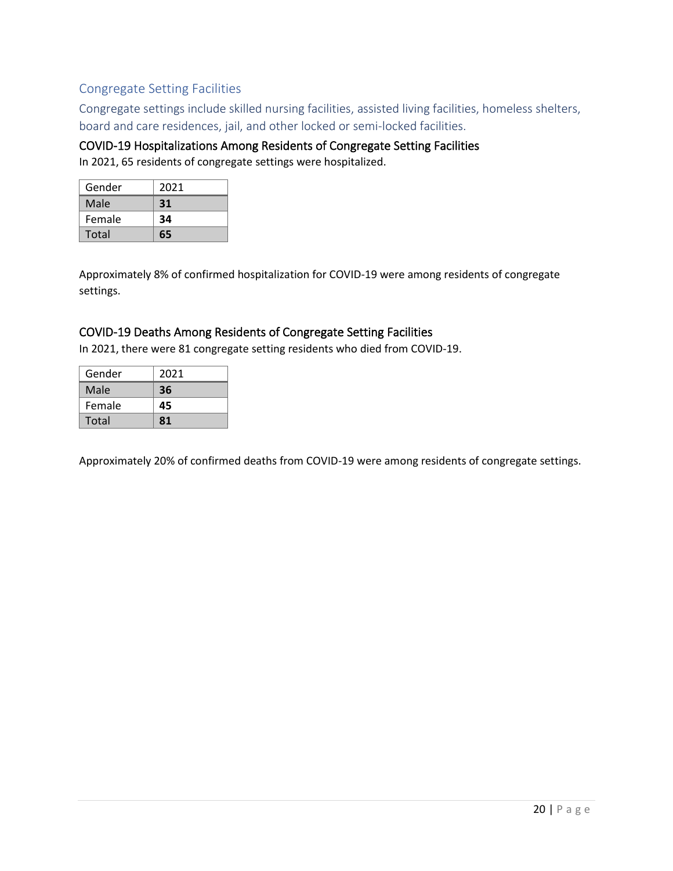### Congregate Setting Facilities

Congregate settings include skilled nursing facilities, assisted living facilities, homeless shelters, board and care residences, jail, and other locked or semi-locked facilities.

### COVID-19 Hospitalizations Among Residents of Congregate Setting Facilities

In 2021, 65 residents of congregate settings were hospitalized.

| Gender | 2021 |
|--------|------|
| Male   | 31   |
| Female | 34   |
| Total  | 65   |

Approximately 8% of confirmed hospitalization for COVID-19 were among residents of congregate settings.

### COVID-19 Deaths Among Residents of Congregate Setting Facilities

In 2021, there were 81 congregate setting residents who died from COVID-19.

| Gender | 2021 |
|--------|------|
| Male   | 36   |
| Female | 45   |
| Total  | 81   |

Approximately 20% of confirmed deaths from COVID-19 were among residents of congregate settings.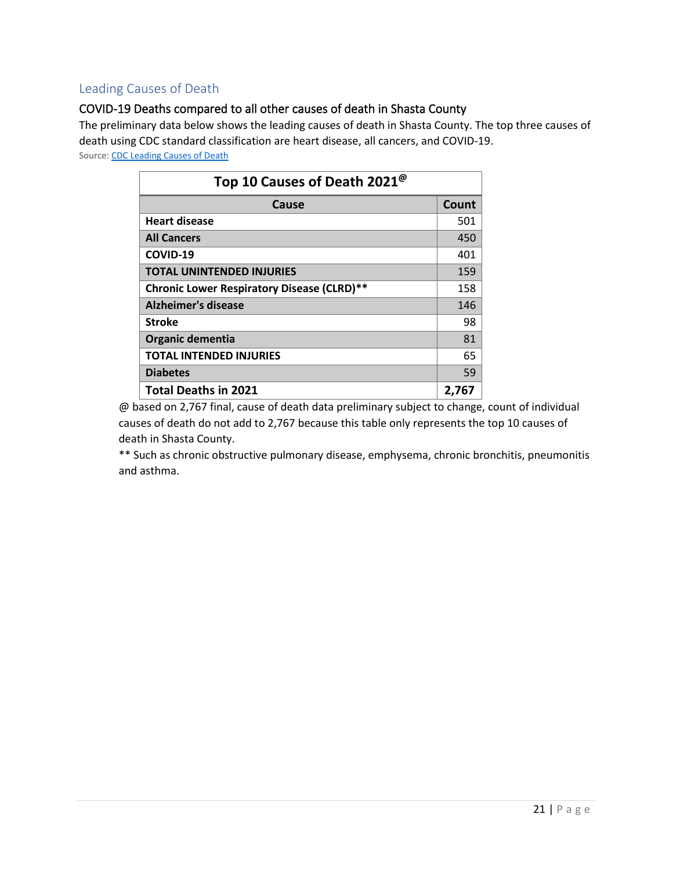### Leading Causes of Death

### COVID-19 Deaths compared to all other causes of death in Shasta County

The preliminary data below shows the leading causes of death in Shasta County. The top three causes of death using CDC standard classification are heart disease, all cancers, and COVID-19. Source[: CDC Leading Causes of Death](https://www.cdc.gov/nchs/fastats/leading-causes-of-death.htm)

| Top 10 Causes of Death 2021 <sup>®</sup>   |       |  |
|--------------------------------------------|-------|--|
| Cause                                      | Count |  |
| <b>Heart disease</b>                       | 501   |  |
| <b>All Cancers</b>                         | 450   |  |
| COVID-19                                   | 401   |  |
| <b>TOTAL UNINTENDED INJURIES</b>           | 159   |  |
| Chronic Lower Respiratory Disease (CLRD)** | 158   |  |
| Alzheimer's disease                        | 146   |  |
| <b>Stroke</b>                              | 98    |  |
| Organic dementia                           | 81    |  |
| <b>TOTAL INTENDED INJURIES</b>             | 65    |  |
| <b>Diabetes</b>                            | 59    |  |
| <b>Total Deaths in 2021</b>                | 2,767 |  |

@ based on 2,767 final, cause of death data preliminary subject to change, count of individual causes of death do not add to 2,767 because this table only represents the top 10 causes of death in Shasta County.

\*\* Such as chronic obstructive pulmonary disease, emphysema, chronic bronchitis, pneumonitis and asthma.